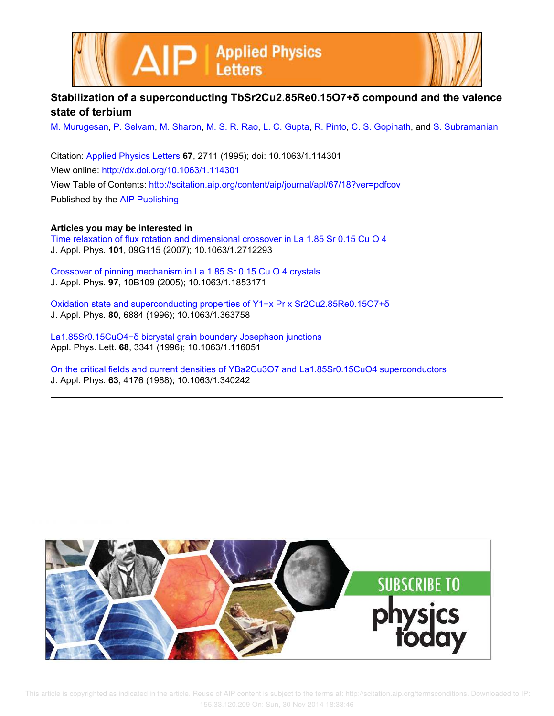



## **Stabilization of a superconducting TbSr2Cu2.85Re0.15O7+δ compound and the valence state of terbium**

M. Murugesan, P. Selvam, M. Sharon, M. S. R. Rao, L. C. Gupta, R. Pinto, C. S. Gopinath, and S. Subramanian

Citation: Applied Physics Letters **67**, 2711 (1995); doi: 10.1063/1.114301 View online: http://dx.doi.org/10.1063/1.114301 View Table of Contents: http://scitation.aip.org/content/aip/journal/apl/67/18?ver=pdfcov Published by the AIP Publishing

**Articles you may be interested in**

Time relaxation of flux rotation and dimensional crossover in La 1.85 Sr 0.15 Cu O 4 J. Appl. Phys. **101**, 09G115 (2007); 10.1063/1.2712293

Crossover of pinning mechanism in La 1.85 Sr 0.15 Cu O 4 crystals J. Appl. Phys. **97**, 10B109 (2005); 10.1063/1.1853171

Oxidation state and superconducting properties of Y1−x Pr x Sr2Cu2.85Re0.15O7+δ J. Appl. Phys. **80**, 6884 (1996); 10.1063/1.363758

La1.85Sr0.15CuO4−δ bicrystal grain boundary Josephson junctions Appl. Phys. Lett. **68**, 3341 (1996); 10.1063/1.116051

On the critical fields and current densities of YBa2Cu3O7 and La1.85Sr0.15CuO4 superconductors J. Appl. Phys. **63**, 4176 (1988); 10.1063/1.340242



 This article is copyrighted as indicated in the article. Reuse of AIP content is subject to the terms at: http://scitation.aip.org/termsconditions. Downloaded to IP: 155.33.120.209 On: Sun, 30 Nov 2014 18:33:46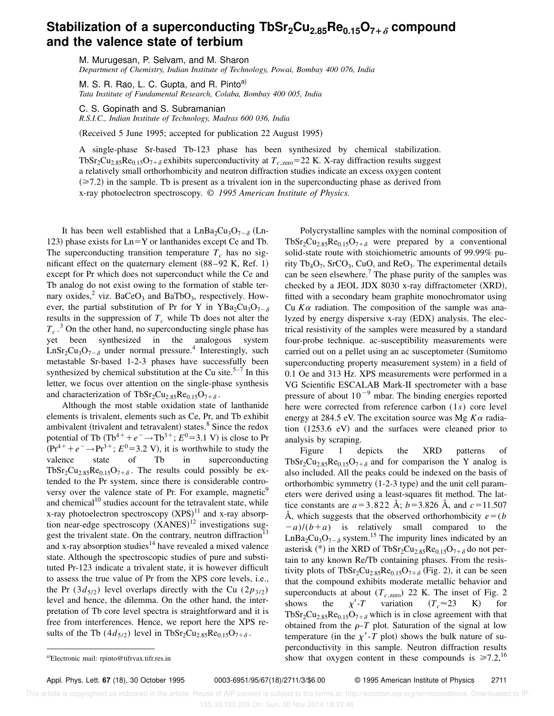## **Stabilization of a superconducting TbSr2Cu2.85Re0.15O7**1<sup>d</sup> **compound and the valence state of terbium**

M. Murugesan, P. Selvam, and M. Sharon *Department of Chemistry, Indian Institute of Technology, Powai, Bombay 400 076, India*

M. S. R. Rao, L. C. Gupta, and R. Pinto<sup>a)</sup> *Tata Institute of Fundamental Research, Colaba, Bombay 400 005, India*

C. S. Gopinath and S. Subramanian *R.S.I.C., Indian Institute of Technology, Madras 600 036, India*

(Received 5 June 1995; accepted for publication 22 August 1995)

A single-phase Sr-based Tb-123 phase has been synthesized by chemical stabilization. TbSr<sub>2</sub>Cu<sub>2.85</sub>Re<sub>0.15</sub>O<sub>7+ $\delta$ </sub> exhibits superconductivity at  $T_{c,zero}$ =22 K. X-ray diffraction results suggest a relatively small orthorhombicity and neutron diffraction studies indicate an excess oxygen content  $(\geq 7.2)$  in the sample. Tb is present as a trivalent ion in the superconducting phase as derived from x-ray photoelectron spectroscopy. © *1995 American Institute of Physics.*

It has been well established that a  $LnBa_2Cu_3O_{7-\delta}$  (Ln-123) phase exists for  $Ln=Y$  or lanthanides except Ce and Tb. The superconducting transition temperature  $T_c$  has no significant effect on the quaternary element  $(88-92 \text{ K}, \text{Ref. } 1)$ except for Pr which does not superconduct while the Ce and Tb analog do not exist owing to the formation of stable ternary oxides,<sup>2</sup> viz. BaCeO<sub>3</sub> and BaTbO<sub>3</sub>, respectively. However, the partial substitution of Pr for Y in YBa<sub>2</sub>Cu<sub>3</sub>O<sub>7- $\delta$ </sub> results in the suppression of  $T_c$  while Tb does not alter the  $T_c$ .<sup>3</sup> On the other hand, no superconducting single phase has yet been synthesized in the analogous system  $\text{LnSr}_2\text{Cu}_3\text{O}_{7-\delta}$  under normal pressure.<sup>4</sup> Interestingly, such metastable Sr-based 1-2-3 phases have successfully been synthesized by chemical substitution at the Cu site.<sup>5–7</sup> In this letter, we focus over attention on the single-phase synthesis and characterization of TbSr<sub>2</sub>Cu<sub>2.85</sub>Re<sub>0.15</sub>O<sub>7+ $\delta$ </sub>.

Although the most stable oxidation state of lanthanide elements is trivalent, elements such as Ce, Pr, and Tb exhibit ambivalent (trivalent and tetravalent) states. $8$  Since the redox potential of Tb  $(Tb^{4+} + e^- \rightarrow Tb^{3+}; E^0 = 3.1 \text{ V})$  is close to Pr  $~(Pr^{4+} + e^- \rightarrow Pr^{3+}; E^0 = 3.2 \text{ V})$ , it is worthwhile to study the valence state of Tb in superconducting TbSr<sub>2</sub>Cu<sub>2.85</sub>Re<sub>0.15</sub>O<sub>7+ $\delta$ </sub>. The results could possibly be extended to the Pr system, since there is considerable controversy over the valence state of Pr. For example, magnetic<sup>9</sup> and chemical<sup>10</sup> studies account for the tetravalent state, while x-ray photoelectron spectroscopy  $(XPS)^{11}$  and x-ray absorption near-edge spectroscopy  $(XANES)^{12}$  investigations suggest the trivalent state. On the contrary, neutron diffraction<sup>13</sup> and x-ray absorption studies $14$  have revealed a mixed valence state. Although the spectroscopic studies of pure and substituted Pr-123 indicate a trivalent state, it is however difficult to assess the true value of Pr from the XPS core levels, i.e., the Pr  $(3d_{5/2})$  level overlaps directly with the Cu  $(2p_{3/2})$ level and hence, the dilemma. On the other hand, the interpretation of Tb core level spectra is straightforward and it is free from interferences. Hence, we report here the XPS results of the Tb  $(4d_{5/2})$  level in TbSr<sub>2</sub>Cu<sub>2.85</sub>Re<sub>0.15</sub>O<sub>7+ $\delta$ </sub>.

Polycrystalline samples with the nominal composition of TbSr<sub>2</sub>Cu<sub>2.85</sub>Re<sub>0.15</sub>O<sub>7+ $\delta$ </sub> were prepared by a conventional solid-state route with stoichiometric amounts of 99.99% purity  $Tb_4O_7$ , SrCO<sub>3</sub>, CuO, and ReO<sub>3</sub>. The experimental details can be seen elsewhere.<sup>7</sup> The phase purity of the samples was checked by a JEOL JDX 8030 x-ray diffractometer  $(XRD)$ , fitted with a secondary beam graphite monochromator using Cu  $K\alpha$  radiation. The composition of the sample was analyzed by energy dispersive  $x$ -ray  $(EDX)$  analysis. The electrical resistivity of the samples were measured by a standard four-probe technique. ac-susceptibility measurements were carried out on a pellet using an ac susceptometer (Sumitomo superconducting property measurement system) in a field of 0.1 Oe and 313 Hz. XPS measurements were performed in a VG Scientific ESCALAB Mark-II spectrometer with a base pressure of about  $10^{-9}$  mbar. The binding energies reported here were corrected from reference carbon (1*s*) core level energy at 284.5 eV. The excitation source was Mg  $K\alpha$  radiation  $(1253.6 \text{ eV})$  and the surfaces were cleaned prior to analysis by scraping.

Figure 1 depicts the XRD patterns of TbSr<sub>2</sub>Cu<sub>2.85</sub>Re<sub>0.15</sub>O<sub>7+ $\delta$ </sub> and for comparison the Y analog is also included. All the peaks could be indexed on the basis of orthorhombic symmetry  $(1-2-3$  type) and the unit cell parameters were derived using a least-squares fit method. The lattice constants are  $a=3.822$  Å;  $b=3.826$  Å, and  $c=11.507$ Å, which suggests that the observed orthorhombicity  $e = (b$  $(a-a)/(b+a)$  is relatively small compared to the  $LnBa<sub>2</sub>Cu<sub>3</sub>O<sub>7-δ</sub>$  system.<sup>15</sup> The impurity lines indicated by an asterisk (\*) in the XRD of TbSr<sub>2</sub>Cu<sub>2.85</sub>Re<sub>0.15</sub>O<sub>7+ $\delta$ </sub> do not pertain to any known Re/Tb containing phases. From the resistivity plots of  $TbSr_2Cu_{2.85}Re_{0.15}O_{7+\delta}$  (Fig. 2), it can be seen that the compound exhibits moderate metallic behavior and superconducts at about  $(T_{c,\text{zero}})$  22 K. The inset of Fig. 2 shows the  $\chi'$ -*T* variation  $(T_c \approx 23$  K) for  $TbSr<sub>2</sub>Cu<sub>2.85</sub>Re<sub>0.15</sub>O<sub>7+\delta</sub>$  which is in close agreement with that obtained from the  $\rho$ -*T* plot. Saturation of the signal at low temperature (in the  $\chi'$ -*T* plot) shows the bulk nature of superconductivity in this sample. Neutron diffraction results a)Electronic mail: rpinto@tifrvax.tifr.res.in show that oxygen content in these compounds is  $\geq 7.2$ , <sup>16</sup>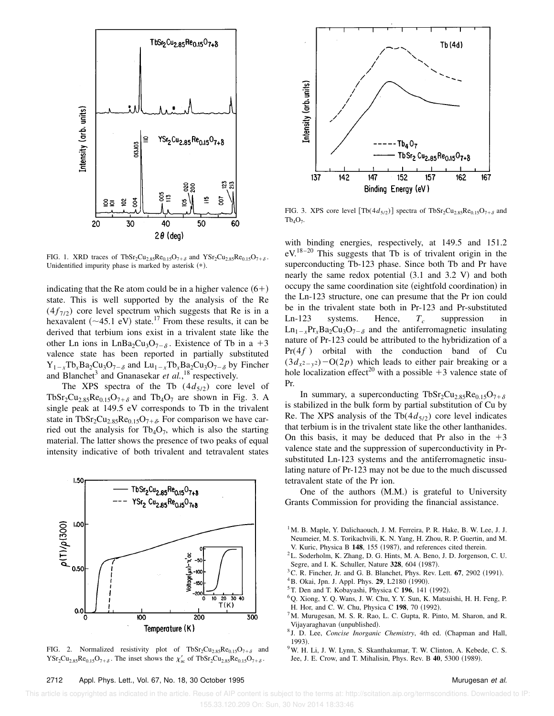

FIG. 1. XRD traces of  $TbSr_2Cu_{2.85}Re_{0.15}O_{7+\delta}$  and  $YSr_2Cu_{2.85}Re_{0.15}O_{7+\delta}$ . Unidentified impurity phase is marked by asterisk  $(*)$ .

indicating that the Re atom could be in a higher valence  $(6+)$ state. This is well supported by the analysis of the Re  $(4f_{7/2})$  core level spectrum which suggests that Re is in a hexavalent ( $\sim$ 45.1 eV) state.<sup>17</sup> From these results, it can be derived that terbium ions exist in a trivalent state like the other Ln ions in LnBa<sub>2</sub>Cu<sub>3</sub>O<sub>7- $\delta$ </sub>. Existence of Tb in a +3 valence state has been reported in partially substituted  $Y_{1-x}Tb_xBa_2Cu_3O_{7-\delta}$  and  $Lu_{1-x}Tb_xBa_2Cu_3O_{7-\delta}$  by Fincher and Blanchet<sup>3</sup> and Gnanasekar et al.,<sup>18</sup> respectively.

The XPS spectra of the Tb  $(4d_{5/2})$  core level of TbSr<sub>2</sub>Cu<sub>2.85</sub>Re<sub>0.15</sub>O<sub>7+ $\delta$ </sub> and Tb<sub>4</sub>O<sub>7</sub> are shown in Fig. 3. A single peak at 149.5 eV corresponds to Tb in the trivalent state in TbSr<sub>2</sub>Cu<sub>2.85</sub>Re<sub>0.15</sub>O<sub>7+ $\delta$ </sub>. For comparison we have carried out the analysis for  $Tb_4O_7$ , which is also the starting material. The latter shows the presence of two peaks of equal intensity indicative of both trivalent and tetravalent states



FIG. 2. Normalized resistivity plot of  $TbSr_2Cu_{2.85}Re_{0.15}O_{7+\delta}$  and  $\text{YSr}_2\text{Cu}_{2.85}\text{Re}_{0.15}\text{O}_{7+\delta}$ . The inset shows the  $\chi'_{ac}$  of TbSr<sub>2</sub>Cu<sub>2.85</sub>Re<sub>0.15</sub>O<sub>7+ $\delta$ </sub>.



FIG. 3. XPS core level  $[\text{Tb}(4d_{5/2})]$  spectra of  $\text{TbSr}_2\text{Cu}_{2.85}\text{Re}_{0.15}\text{O}_{7+\delta}$  and  $Tb_4O_7.$ 

with binding energies, respectively, at 149.5 and 151.2  $eV^{18-20}$  This suggests that Tb is of trivalent origin in the superconducting Tb-123 phase. Since both Tb and Pr have nearly the same redox potential  $(3.1 \text{ and } 3.2 \text{ V})$  and both occupy the same coordination site (eightfold coordination) in the Ln-123 structure, one can presume that the Pr ion could be in the trivalent state both in Pr-123 and Pr-substituted Ln-123 systems. Hence, *T<sup>c</sup>* suppression in  $Ln_{1-x}Pr_{x}Ba_{2}Cu_{3}O_{7-\delta}$  and the antiferromagnetic insulating nature of Pr-123 could be attributed to the hybridization of a  $Pr(4f)$  orbital with the conduction band of Cu  $(3d_{x^2-y^2})$  -O(2*p*) which leads to either pair breaking or a hole localization effect<sup>20</sup> with a possible  $+3$  valence state of Pr.

In summary, a superconducting TbSr<sub>2</sub>Cu<sub>2.85</sub>Re<sub>0.15</sub>O<sub>7+ $\delta$ </sub> is stabilized in the bulk form by partial substitution of Cu by Re. The XPS analysis of the Tb $(4d_{5/2})$  core level indicates that terbium is in the trivalent state like the other lanthanides. On this basis, it may be deduced that Pr also in the  $+3$ valence state and the suppression of superconductivity in Prsubstituted Ln-123 systems and the antiferromagnetic insulating nature of Pr-123 may not be due to the much discussed tetravalent state of the Pr ion.

One of the authors  $(M.M.)$  is grateful to University Grants Commission for providing the financial assistance.

- $1^1$ M. B. Maple, Y. Dalichaouch, J. M. Ferreira, P. R. Hake, B. W. Lee, J. J. Neumeier, M. S. Torikachvili, K. N. Yang, H. Zhou, R. P. Guertin, and M. V. Kuric, Physica B 148, 155 (1987), and references cited therein.
- <sup>2</sup>L. Soderholm, K. Zhang, D. G. Hints, M. A. Beno, J. D. Jorgenson, C. U. Segre, and I. K. Schuller, Nature 328, 604 (1987).
- ${}^{3}$ C. R. Fincher, Jr. and G. B. Blanchet, Phys. Rev. Lett.  $67$ , 2902 (1991).
- <sup>4</sup>B. Okai, Jpn. J. Appl. Phys. **29**, L2180 (1990).
- $5$ T. Den and T. Kobayashi, Physica C 196, 141 (1992).
- <sup>6</sup>Q. Xiong, Y. Q. Wans, J. W. Chu, Y. Y. Sun, K. Matsuishi, H. H. Feng, P. H. Hor, and C. W. Chu, Physica C 198, 70 (1992).
- $7$ M. Murugesan, M. S. R. Rao, L. C. Gupta, R. Pinto, M. Sharon, and R. Vijayaraghavan (unpublished).
- <sup>8</sup> J. D. Lee, *Concise Inorganic Chemistry*, 4th ed. (Chapman and Hall, 1993).
- <sup>9</sup>W. H. Li, J. W. Lynn, S. Skanthakumar, T. W. Clinton, A. Kebede, C. S. Jee, J. E. Crow, and T. Mihalisin, Phys. Rev. B 40, 5300 (1989).